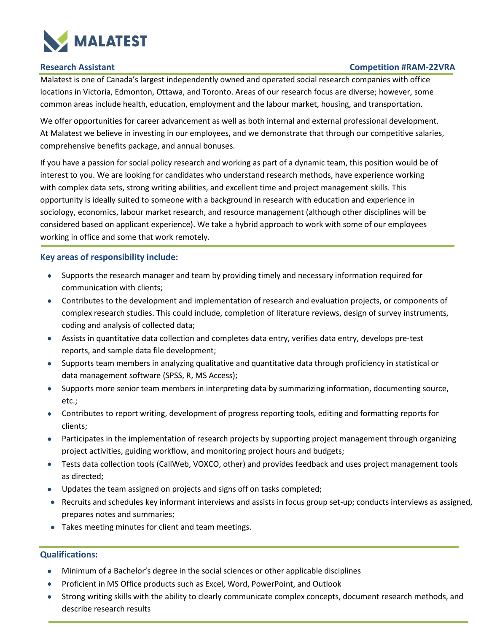

### **Research Assistant Competition #RAM-22VRA**

Malatest is one of Canada's largest independently owned and operated social research companies with office locations in Victoria, Edmonton, Ottawa, and Toronto. Areas of our research focus are diverse; however, some common areas include health, education, employment and the labour market, housing, and transportation.

We offer opportunities for career advancement as well as both internal and external professional development. At Malatest we believe in investing in our employees, and we demonstrate that through our competitive salaries, comprehensive benefits package, and annual bonuses.

If you have a passion for social policy research and working as part of a dynamic team, this position would be of interest to you. We are looking for candidates who understand research methods, have experience working with complex data sets, strong writing abilities, and excellent time and project management skills. This opportunity is ideally suited to someone with a background in research with education and experience in sociology, economics, labour market research, and resource management (although other disciplines will be considered based on applicant experience). We take a hybrid approach to work with some of our employees working in office and some that work remotely.

### **Key areas of responsibility include:**

- Supports the research manager and team by providing timely and necessary information required for communication with clients;
- Contributes to the development and implementation of research and evaluation projects, or components of complex research studies. This could include, completion of literature reviews, design of survey instruments, coding and analysis of collected data;
- Assists in quantitative data collection and completes data entry, verifies data entry, develops pre-test reports, and sample data file development;
- Supports team members in analyzing qualitative and quantitative data through proficiency in statistical or data management software (SPSS, R, MS Access);
- Supports more senior team members in interpreting data by summarizing information, documenting source, etc.;
- Contributes to report writing, development of progress reporting tools, editing and formatting reports for clients;
- Participates in the implementation of research projects by supporting project management through organizing project activities, guiding workflow, and monitoring project hours and budgets;
- Tests data collection tools (CallWeb, VOXCO, other) and provides feedback and uses project management tools as directed;
- Updates the team assigned on projects and signs off on tasks completed;
- Recruits and schedules key informant interviews and assists in focus group set-up; conducts interviews as assigned, prepares notes and summaries;
- Takes meeting minutes for client and team meetings.

# **Qualifications:**

- Minimum of a Bachelor's degree in the social sciences or other applicable disciplines
- Proficient in MS Office products such as Excel, Word, PowerPoint, and Outlook
- Strong writing skills with the ability to clearly communicate complex concepts, document research methods, and describe research results